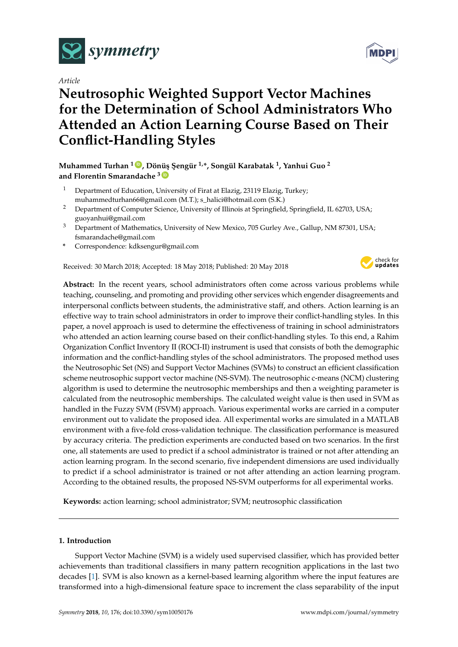

*Article*

# **Neutrosophic Weighted Support Vector Machines for the Determination of School Administrators Who Attended an Action Learning Course Based on Their Conflict-Handling Styles**

**Muhammed Turhan <sup>1</sup> [ID](https://orcid.org/0000-0003-4077-6471) , Dönü¸s ¸Sengür 1,\*, Songül Karabatak <sup>1</sup> , Yanhui Guo <sup>2</sup> and Florentin Smarandache <sup>3</sup> [ID](https://orcid.org/0000-0002-5560-5926)**

- <sup>1</sup> Department of Education, University of Firat at Elazig, 23119 Elazig, Turkey; muhammedturhan66@gmail.com (M.T.); s\_halici@hotmail.com (S.K.)
- <sup>2</sup> Department of Computer Science, University of Illinois at Springfield, Springfield, IL 62703, USA; guoyanhui@gmail.com
- <sup>3</sup> Department of Mathematics, University of New Mexico, 705 Gurley Ave., Gallup, NM 87301, USA; fsmarandache@gmail.com
- **\*** Correspondence: kdksengur@gmail.com

Received: 30 March 2018; Accepted: 18 May 2018; Published: 20 May 2018



**Abstract:** In the recent years, school administrators often come across various problems while teaching, counseling, and promoting and providing other services which engender disagreements and interpersonal conflicts between students, the administrative staff, and others. Action learning is an effective way to train school administrators in order to improve their conflict-handling styles. In this paper, a novel approach is used to determine the effectiveness of training in school administrators who attended an action learning course based on their conflict-handling styles. To this end, a Rahim Organization Conflict Inventory II (ROCI-II) instrument is used that consists of both the demographic information and the conflict-handling styles of the school administrators. The proposed method uses the Neutrosophic Set (NS) and Support Vector Machines (SVMs) to construct an efficient classification scheme neutrosophic support vector machine (NS-SVM). The neutrosophic c-means (NCM) clustering algorithm is used to determine the neutrosophic memberships and then a weighting parameter is calculated from the neutrosophic memberships. The calculated weight value is then used in SVM as handled in the Fuzzy SVM (FSVM) approach. Various experimental works are carried in a computer environment out to validate the proposed idea. All experimental works are simulated in a MATLAB environment with a five-fold cross-validation technique. The classification performance is measured by accuracy criteria. The prediction experiments are conducted based on two scenarios. In the first one, all statements are used to predict if a school administrator is trained or not after attending an action learning program. In the second scenario, five independent dimensions are used individually to predict if a school administrator is trained or not after attending an action learning program. According to the obtained results, the proposed NS-SVM outperforms for all experimental works.

**Keywords:** action learning; school administrator; SVM; neutrosophic classification

# **1. Introduction**

Support Vector Machine (SVM) is a widely used supervised classifier, which has provided better achievements than traditional classifiers in many pattern recognition applications in the last two decades [\[1\]](#page-10-0). SVM is also known as a kernel-based learning algorithm where the input features are transformed into a high-dimensional feature space to increment the class separability of the input

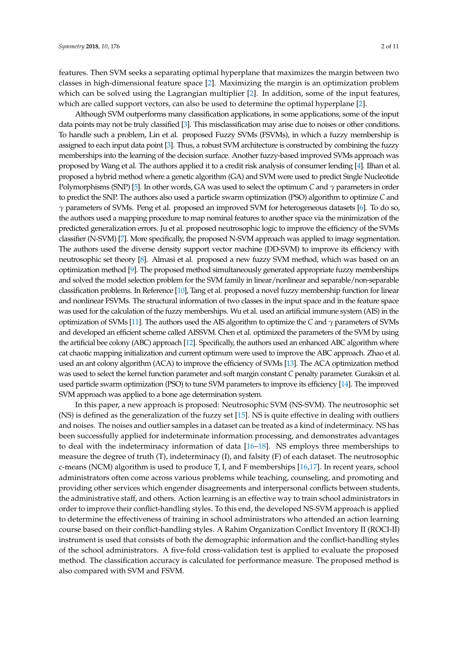features. Then SVM seeks a separating optimal hyperplane that maximizes the margin between two classes in high-dimensional feature space [\[2\]](#page-10-1). Maximizing the margin is an optimization problem which can be solved using the Lagrangian multiplier [\[2\]](#page-10-1). In addition, some of the input features, which are called support vectors, can also be used to determine the optimal hyperplane [\[2\]](#page-10-1).

Although SVM outperforms many classification applications, in some applications, some of the input data points may not be truly classified [\[3\]](#page-10-2). This misclassification may arise due to noises or other conditions. To handle such a problem, Lin et al. proposed Fuzzy SVMs (FSVMs), in which a fuzzy membership is assigned to each input data point [\[3\]](#page-10-2). Thus, a robust SVM architecture is constructed by combining the fuzzy memberships into the learning of the decision surface. Another fuzzy-based improved SVMs approach was proposed by Wang et al. The authors applied it to a credit risk analysis of consumer lending [\[4\]](#page-10-3). Ilhan et al. proposed a hybrid method where a genetic algorithm (GA) and SVM were used to predict Single Nucleotide Polymorphisms (SNP) [\[5\]](#page-10-4). In other words, GA was used to select the optimum *C* and *γ* parameters in order to predict the SNP. The authors also used a particle swarm optimization (PSO) algorithm to optimize *C* and *γ* parameters of SVMs. Peng et al. proposed an improved SVM for heterogeneous datasets [\[6\]](#page-10-5). To do so, the authors used a mapping procedure to map nominal features to another space via the minimization of the predicted generalization errors. Ju et al. proposed neutrosophic logic to improve the efficiency of the SVMs classifier (N-SVM) [\[7\]](#page-10-6). More specifically, the proposed N-SVM approach was applied to image segmentation. The authors used the diverse density support vector machine (DD-SVM) to improve its efficiency with neutrosophic set theory [\[8\]](#page-10-7). Almasi et al. proposed a new fuzzy SVM method, which was based on an optimization method [\[9\]](#page-10-8). The proposed method simultaneously generated appropriate fuzzy memberships and solved the model selection problem for the SVM family in linear/nonlinear and separable/non-separable classification problems. In Reference [\[10\]](#page-10-9), Tang et al. proposed a novel fuzzy membership function for linear and nonlinear FSVMs. The structural information of two classes in the input space and in the feature space was used for the calculation of the fuzzy memberships. Wu et al. used an artificial immune system (AIS) in the optimization of SVMs [\[11\]](#page-10-10). The authors used the AIS algorithm to optimize the *C* and *γ* parameters of SVMs and developed an efficient scheme called AISSVM. Chen et al. optimized the parameters of the SVM by using the artificial bee colony (ABC) approach [\[12\]](#page-10-11). Specifically, the authors used an enhanced ABC algorithm where cat chaotic mapping initialization and current optimum were used to improve the ABC approach. Zhao et al. used an ant colony algorithm (ACA) to improve the efficiency of SVMs [\[13\]](#page-10-12). The ACA optimization method was used to select the kernel function parameter and soft margin constant *C* penalty parameter. Guraksin et al. used particle swarm optimization (PSO) to tune SVM parameters to improve its efficiency [\[14\]](#page-10-13). The improved SVM approach was applied to a bone age determination system.

In this paper, a new approach is proposed: Neutrosophic SVM (NS-SVM). The neutrosophic set (NS) is defined as the generalization of the fuzzy set [\[15\]](#page-10-14). NS is quite effective in dealing with outliers and noises. The noises and outlier samples in a dataset can be treated as a kind of indeterminacy. NS has been successfully applied for indeterminate information processing, and demonstrates advantages to deal with the indeterminacy information of data [\[16–](#page-10-15)[18\]](#page-10-16). NS employs three memberships to measure the degree of truth (T), indeterminacy (I), and falsity (F) of each dataset. The neutrosophic c-means (NCM) algorithm is used to produce T, I, and F memberships [\[16](#page-10-15)[,17\]](#page-10-17). In recent years, school administrators often come across various problems while teaching, counseling, and promoting and providing other services which engender disagreements and interpersonal conflicts between students, the administrative staff, and others. Action learning is an effective way to train school administrators in order to improve their conflict-handling styles. To this end, the developed NS-SVM approach is applied to determine the effectiveness of training in school administrators who attended an action learning course based on their conflict-handling styles. A Rahim Organization Conflict Inventory II (ROCI-II) instrument is used that consists of both the demographic information and the conflict-handling styles of the school administrators. A five-fold cross-validation test is applied to evaluate the proposed method. The classification accuracy is calculated for performance measure. The proposed method is also compared with SVM and FSVM.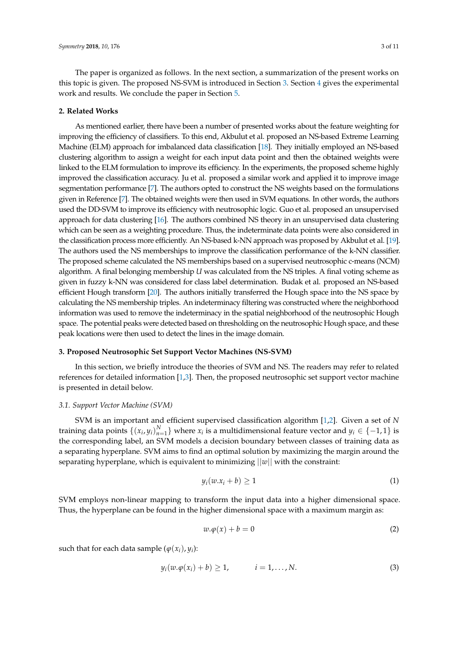The paper is organized as follows. In the next section, a summarization of the present works on this topic is given. The proposed NS-SVM is introduced in Section [3.](#page-2-0) Section [4](#page-4-0) gives the experimental work and results. We conclude the paper in Section [5.](#page-7-0)

#### **2. Related Works**

As mentioned earlier, there have been a number of presented works about the feature weighting for improving the efficiency of classifiers. To this end, Akbulut et al. proposed an NS-based Extreme Learning Machine (ELM) approach for imbalanced data classification [\[18\]](#page-10-16). They initially employed an NS-based clustering algorithm to assign a weight for each input data point and then the obtained weights were linked to the ELM formulation to improve its efficiency. In the experiments, the proposed scheme highly improved the classification accuracy. Ju et al. proposed a similar work and applied it to improve image segmentation performance [\[7\]](#page-10-6). The authors opted to construct the NS weights based on the formulations given in Reference [\[7\]](#page-10-6). The obtained weights were then used in SVM equations. In other words, the authors used the DD-SVM to improve its efficiency with neutrosophic logic. Guo et al. proposed an unsupervised approach for data clustering [\[16\]](#page-10-15). The authors combined NS theory in an unsupervised data clustering which can be seen as a weighting procedure. Thus, the indeterminate data points were also considered in the classification process more efficiently. An NS-based k-NN approach was proposed by Akbulut et al. [\[19\]](#page-10-18). The authors used the NS memberships to improve the classification performance of the k-NN classifier. The proposed scheme calculated the NS memberships based on a supervised neutrosophic c-means (NCM) algorithm. A final belonging membership *U* was calculated from the NS triples. A final voting scheme as given in fuzzy k-NN was considered for class label determination. Budak et al. proposed an NS-based efficient Hough transform [\[20\]](#page-10-19). The authors initially transferred the Hough space into the NS space by calculating the NS membership triples. An indeterminacy filtering was constructed where the neighborhood information was used to remove the indeterminacy in the spatial neighborhood of the neutrosophic Hough space. The potential peaks were detected based on thresholding on the neutrosophic Hough space, and these peak locations were then used to detect the lines in the image domain.

## <span id="page-2-0"></span>**3. Proposed Neutrosophic Set Support Vector Machines (NS-SVM)**

In this section, we briefly introduce the theories of SVM and NS. The readers may refer to related references for detailed information [\[1,](#page-10-0)[3\]](#page-10-2). Then, the proposed neutrosophic set support vector machine is presented in detail below.

#### *3.1. Support Vector Machine (SVM)*

SVM is an important and efficient supervised classification algorithm [\[1](#page-10-0)[,2\]](#page-10-1). Given a set of *N* training data points  $\{(x_i, y_i)_{n=1}^N\}$  where  $x_i$  is a multidimensional feature vector and  $y_i \in \{-1, 1\}$  is the corresponding label, an SVM models a decision boundary between classes of training data as a separating hyperplane. SVM aims to find an optimal solution by maximizing the margin around the separating hyperplane, which is equivalent to minimizing ||*w*|| with the constraint:

$$
y_i(w.x_i + b) \ge 1 \tag{1}
$$

SVM employs non-linear mapping to transform the input data into a higher dimensional space. Thus, the hyperplane can be found in the higher dimensional space with a maximum margin as:

$$
w.\varphi(x) + b = 0 \tag{2}
$$

such that for each data sample  $(\varphi(x_i), y_i)$ :

$$
y_i(w.\varphi(x_i)+b)\geq 1, \qquad i=1,\ldots,N. \qquad (3)
$$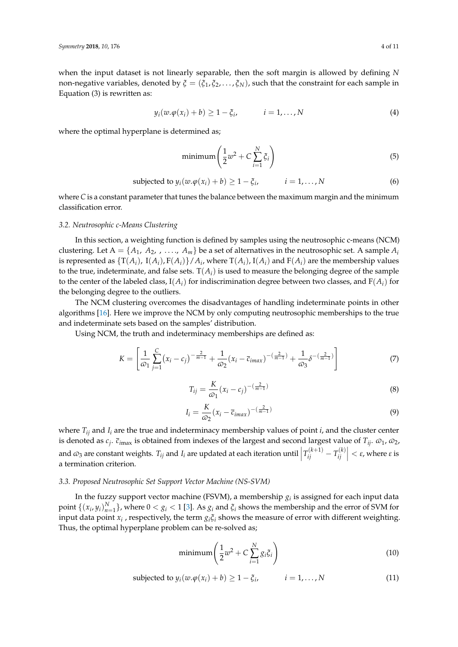when the input dataset is not linearly separable, then the soft margin is allowed by defining *N* non-negative variables, denoted by  $\zeta = (\zeta_1, \zeta_2, \dots, \zeta_N)$ , such that the constraint for each sample in Equation (3) is rewritten as:

$$
y_i(w.\varphi(x_i) + b) \ge 1 - \xi_i, \qquad i = 1, \dots, N
$$
 (4)

where the optimal hyperplane is determined as;

$$
\text{minimum} \left( \frac{1}{2} w^2 + C \sum_{i=1}^{N} \xi_i \right) \tag{5}
$$

subjected to 
$$
y_i(w.\varphi(x_i) + b) \ge 1 - \xi_i
$$
,  $i = 1,..., N$  (6)

where *C* is a constant parameter that tunes the balance between the maximum margin and the minimum classification error.

## *3.2. Neutrosophic c-Means Clustering*

In this section, a weighting function is defined by samples using the neutrosophic c-means (NCM) clustering. Let  $A = \{A_1, A_2, \ldots, A_m\}$  be a set of alternatives in the neutrosophic set. A sample  $A_i$ is represented as  $\{T(A_i)$ ,  $I(A_i)$ ,  $F(A_i)\}$  /  $A_i$ , where  $T(A_i)$ ,  $I(A_i)$  and  $F(A_i)$  are the membership values to the true, indeterminate, and false sets.  $T(A_i)$  is used to measure the belonging degree of the sample to the center of the labeled class,  $I(A_i)$  for indiscrimination degree between two classes, and  $F(A_i)$  for the belonging degree to the outliers.

The NCM clustering overcomes the disadvantages of handling indeterminate points in other algorithms [\[16\]](#page-10-15). Here we improve the NCM by only computing neutrosophic memberships to the true and indeterminate sets based on the samples' distribution.

Using NCM, the truth and indeterminacy memberships are defined as:

$$
K = \left[\frac{1}{\omega_1} \sum_{j=1}^{C} (x_i - c_j)^{-\frac{2}{m-1}} + \frac{1}{\omega_2} (x_i - \overline{c}_{imax})^{-(\frac{2}{m-1})} + \frac{1}{\omega_3} \delta^{-(\frac{2}{m-1})}\right]
$$
(7)

$$
T_{ij} = \frac{K}{\varpi_1} (x_i - c_j)^{-(\frac{2}{m-1})}
$$
\n(8)

$$
I_i = \frac{K}{\omega_2} (x_i - \overline{c}_{imax})^{-(\frac{2}{m-1})}
$$
\n(9)

where  $T_{ij}$  and  $I_i$  are the true and indeterminacy membership values of point *i*, and the cluster center is denoted as  $c_j$ .  $\bar{c}_{imax}$  is obtained from indexes of the largest and second largest value of  $T_{ij}$ .  $\omega_1$ ,  $\omega_2$ , and  $\omega_3$  are constant weights.  $T_{ij}$  and  $I_i$  are updated at each iteration until  $\left| T_{ij}^{(k+1)} - T_{ij}^{(k)} \right|$  $\left| \begin{array}{c} \mathbf{r}^{(k)} \\ ij \end{array} \right| < \varepsilon$ , where  $\varepsilon$  is a termination criterion.

#### *3.3. Proposed Neutrosophic Set Support Vector Machine (NS-SVM)*

In the fuzzy support vector machine (FSVM), a membership  $g_i$  is assigned for each input data point  $\{(x_i, y_i)_{n=1}^N\}$ , where  $0 < g_i < 1$  [\[3\]](#page-10-2). As  $g_i$  and  $\xi_i$  shows the membership and the error of SVM for input data point  $x_i$  , respectively, the term  $g_i \xi_i$  shows the measure of error with different weighting. Thus, the optimal hyperplane problem can be re-solved as;

$$
\text{minimum} \left( \frac{1}{2} w^2 + C \sum_{i=1}^{N} g_i \xi_i \right) \tag{10}
$$

$$
subjected to y_i(w.\varphi(x_i) + b) \ge 1 - \xi_i, \qquad i = 1,...,N
$$
\n(11)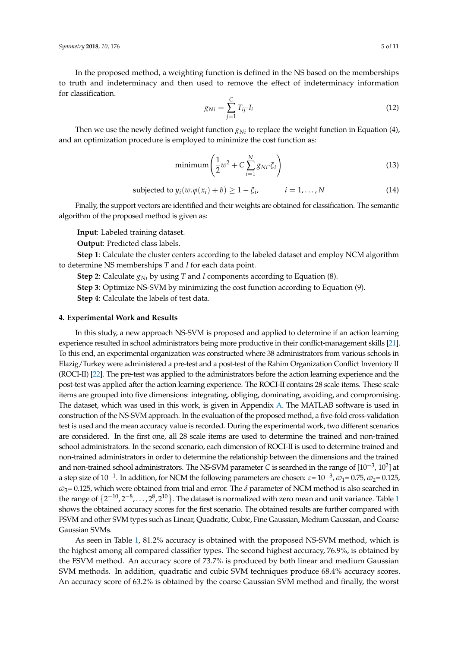In the proposed method, a weighting function is defined in the NS based on the memberships to truth and indeterminacy and then used to remove the effect of indeterminacy information for classification.

$$
g_{Ni} = \sum_{j=1}^{C} T_{ij} \cdot I_i \tag{12}
$$

Then we use the newly defined weight function  $g_{Ni}$  to replace the weight function in Equation (4), and an optimization procedure is employed to minimize the cost function as:

$$
\text{minimum} \left( \frac{1}{2} w^2 + C \sum_{i=1}^{N} g_{Ni} \cdot \xi_i \right) \tag{13}
$$

$$
subjected to y_i(w.\varphi(x_i) + b) \ge 1 - \xi_i, \qquad i = 1,...,N
$$
\n(14)

Finally, the support vectors are identified and their weights are obtained for classification. The semantic algorithm of the proposed method is given as:

**Input**: Labeled training dataset.

**Output**: Predicted class labels.

**Step 1**: Calculate the cluster centers according to the labeled dataset and employ NCM algorithm to determine NS memberships *T* and *I* for each data point.

**Step 2**: Calculate  $g_{Ni}$  by using *T* and *I* components according to Equation (8).

**Step 3**: Optimize NS-SVM by minimizing the cost function according to Equation (9).

**Step 4**: Calculate the labels of test data.

## <span id="page-4-0"></span>**4. Experimental Work and Results**

In this study, a new approach NS-SVM is proposed and applied to determine if an action learning experience resulted in school administrators being more productive in their conflict-management skills [\[21\]](#page-10-20). To this end, an experimental organization was constructed where 38 administrators from various schools in Elazig/Turkey were administered a pre-test and a post-test of the Rahim Organization Conflict Inventory II (ROCI-II) [\[22\]](#page-10-21). The pre-test was applied to the administrators before the action learning experience and the post-test was applied after the action learning experience. The ROCI-II contains 28 scale items. These scale items are grouped into five dimensions: integrating, obliging, dominating, avoiding, and compromising. The dataset, which was used in this work, is given in Appendix [A.](#page-8-0) The MATLAB software is used in construction of the NS-SVM approach. In the evaluation of the proposed method, a five-fold cross-validation test is used and the mean accuracy value is recorded. During the experimental work, two different scenarios are considered. In the first one, all 28 scale items are used to determine the trained and non-trained school administrators. In the second scenario, each dimension of ROCI-II is used to determine trained and non-trained administrators in order to determine the relationship between the dimensions and the trained and non-trained school administrators. The NS-SVM parameter *C* is searched in the range of  $[10^{-3}, 10^2]$  at a step size of 10<sup>-1</sup>. In addition, for NCM the following parameters are chosen: ε= 10<sup>-3</sup>,  $ω_1$ = 0.75,  $ω_2$ = 0.125, *v*3= 0.125, which were obtained from trial and error. The *δ* parameter of NCM method is also searched in the range of  $\{2^{-10}, 2^{-8}, ..., 2^8, 2^{10}\}$  $\{2^{-10}, 2^{-8}, ..., 2^8, 2^{10}\}$  $\{2^{-10}, 2^{-8}, ..., 2^8, 2^{10}\}$ . The dataset is normalized with zero mean and unit variance. Table 1 shows the obtained accuracy scores for the first scenario. The obtained results are further compared with FSVM and other SVM types such as Linear, Quadratic, Cubic, Fine Gaussian, Medium Gaussian, and Coarse Gaussian SVMs.

As seen in Table [1,](#page-5-0) 81.2% accuracy is obtained with the proposed NS-SVM method, which is the highest among all compared classifier types. The second highest accuracy, 76.9%, is obtained by the FSVM method. An accuracy score of 73.7% is produced by both linear and medium Gaussian SVM methods. In addition, quadratic and cubic SVM techniques produce 68.4% accuracy scores. An accuracy score of 63.2% is obtained by the coarse Gaussian SVM method and finally, the worst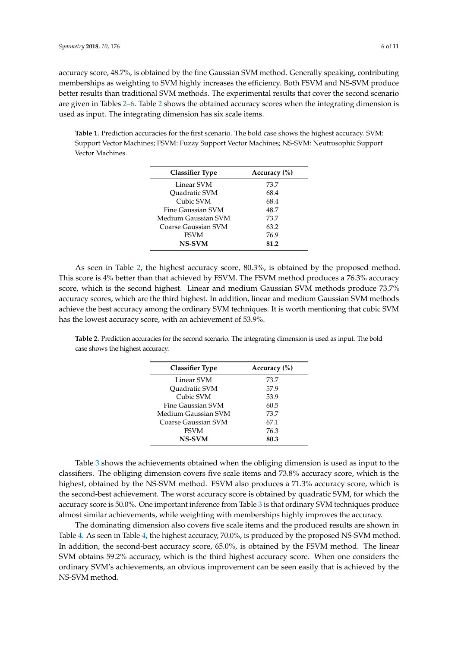accuracy score, 48.7%, is obtained by the fine Gaussian SVM method. Generally speaking, contributing memberships as weighting to SVM highly increases the efficiency. Both FSVM and NS-SVM produce better results than traditional SVM methods. The experimental results that cover the second scenario are given in Tables [2–](#page-5-1)[6.](#page-7-1) Table [2](#page-5-1) shows the obtained accuracy scores when the integrating dimension is used as input. The integrating dimension has six scale items.

<span id="page-5-0"></span>**Table 1.** Prediction accuracies for the first scenario. The bold case shows the highest accuracy. SVM: Support Vector Machines; FSVM: Fuzzy Support Vector Machines; NS-SVM: Neutrosophic Support Vector Machines.

| <b>Classifier Type</b> | Accuracy $(\% )$ |
|------------------------|------------------|
| Linear SVM             | 73.7             |
| <b>Ouadratic SVM</b>   | 68.4             |
| Cubic SVM              | 68.4             |
| Fine Gaussian SVM      | 48.7             |
| Medium Gaussian SVM    | 73.7             |
| Coarse Gaussian SVM    | 63.2             |
| <b>FSVM</b>            | 76.9             |
| <b>NS-SVM</b>          | 81.2             |

As seen in Table [2,](#page-5-1) the highest accuracy score, 80.3%, is obtained by the proposed method. This score is 4% better than that achieved by FSVM. The FSVM method produces a 76.3% accuracy score, which is the second highest. Linear and medium Gaussian SVM methods produce 73.7% accuracy scores, which are the third highest. In addition, linear and medium Gaussian SVM methods achieve the best accuracy among the ordinary SVM techniques. It is worth mentioning that cubic SVM has the lowest accuracy score, with an achievement of 53.9%.

<span id="page-5-1"></span>**Table 2.** Prediction accuracies for the second scenario. The integrating dimension is used as input. The bold case shows the highest accuracy.

| <b>Classifier Type</b>     | Accuracy $(\% )$ |
|----------------------------|------------------|
| Linear SVM                 | 73.7             |
| <b>Ouadratic SVM</b>       | 57.9             |
| Cubic SVM                  | 53.9             |
| Fine Gaussian SVM          | 60.5             |
| Medium Gaussian SVM        | 73.7             |
| <b>Coarse Gaussian SVM</b> | 67.1             |
| <b>FSVM</b>                | 76.3             |
| <b>NS-SVM</b>              | 80.3             |

Table [3](#page-6-0) shows the achievements obtained when the obliging dimension is used as input to the classifiers. The obliging dimension covers five scale items and 73.8% accuracy score, which is the highest, obtained by the NS-SVM method. FSVM also produces a 71.3% accuracy score, which is the second-best achievement. The worst accuracy score is obtained by quadratic SVM, for which the accuracy score is 50.0%. One important inference from Table [3](#page-6-0) is that ordinary SVM techniques produce almost similar achievements, while weighting with memberships highly improves the accuracy.

The dominating dimension also covers five scale items and the produced results are shown in Table [4.](#page-6-1) As seen in Table [4,](#page-6-1) the highest accuracy, 70.0%, is produced by the proposed NS-SVM method. In addition, the second-best accuracy score, 65.0%, is obtained by the FSVM method. The linear SVM obtains 59.2% accuracy, which is the third highest accuracy score. When one considers the ordinary SVM's achievements, an obvious improvement can be seen easily that is achieved by the NS-SVM method.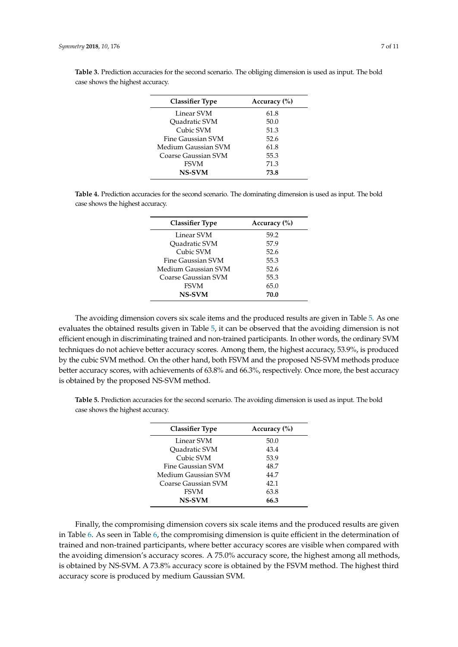| <b>Classifier Type</b> | Accuracy (%) |
|------------------------|--------------|
| Linear SVM             | 61.8         |
| <b>Ouadratic SVM</b>   | 50.0         |
| Cubic SVM              | 51.3         |
| Fine Gaussian SVM      | 52.6         |
| Medium Gaussian SVM    | 61.8         |
| Coarse Gaussian SVM    | 55.3         |
| <b>FSVM</b>            | 71.3         |
| <b>NS-SVM</b>          | 73.8         |

<span id="page-6-0"></span>**Table 3.** Prediction accuracies for the second scenario. The obliging dimension is used as input. The bold case shows the highest accuracy.

<span id="page-6-1"></span>**Table 4.** Prediction accuracies for the second scenario. The dominating dimension is used as input. The bold case shows the highest accuracy.

| <b>Classifier Type</b> | Accuracy $(\% )$ |
|------------------------|------------------|
| Linear SVM             | 59.2             |
| <b>Ouadratic SVM</b>   | 57.9             |
| Cubic SVM              | 52.6             |
| Fine Gaussian SVM      | 55.3             |
| Medium Gaussian SVM    | 52.6             |
| Coarse Gaussian SVM    | 55.3             |
| <b>FSVM</b>            | 65.0             |
| <b>NS-SVM</b>          | 70.0             |

The avoiding dimension covers six scale items and the produced results are given in Table [5.](#page-6-2) As one evaluates the obtained results given in Table [5,](#page-6-2) it can be observed that the avoiding dimension is not efficient enough in discriminating trained and non-trained participants. In other words, the ordinary SVM techniques do not achieve better accuracy scores. Among them, the highest accuracy, 53.9%, is produced by the cubic SVM method. On the other hand, both FSVM and the proposed NS-SVM methods produce better accuracy scores, with achievements of 63.8% and 66.3%, respectively. Once more, the best accuracy is obtained by the proposed NS-SVM method.

<span id="page-6-2"></span>**Table 5.** Prediction accuracies for the second scenario. The avoiding dimension is used as input. The bold case shows the highest accuracy.

| <b>Classifier Type</b> | Accuracy $(\% )$ |
|------------------------|------------------|
| Linear SVM             | 50.0             |
| <b>Ouadratic SVM</b>   | 43.4             |
| Cubic SVM              | 53.9             |
| Fine Gaussian SVM      | 48.7             |
| Medium Gaussian SVM    | 44.7             |
| Coarse Gaussian SVM    | 42.1             |
| <b>FSVM</b>            | 63.8             |
| <b>NS-SVM</b>          | 66.3             |

Finally, the compromising dimension covers six scale items and the produced results are given in Table [6.](#page-7-1) As seen in Table [6,](#page-7-1) the compromising dimension is quite efficient in the determination of trained and non-trained participants, where better accuracy scores are visible when compared with the avoiding dimension's accuracy scores. A 75.0% accuracy score, the highest among all methods, is obtained by NS-SVM. A 73.8% accuracy score is obtained by the FSVM method. The highest third accuracy score is produced by medium Gaussian SVM.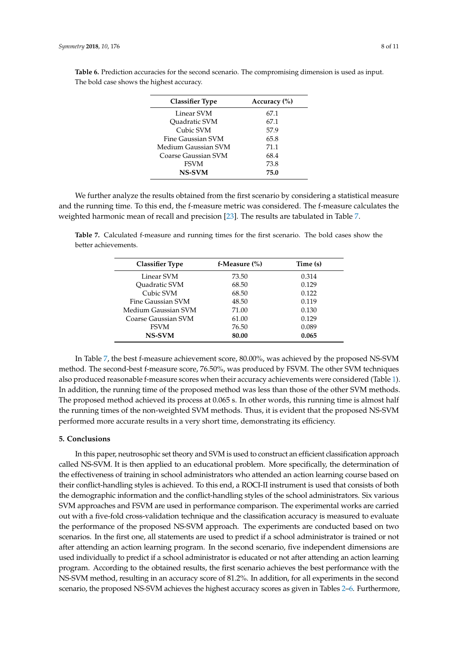| <b>Classifier Type</b> | Accuracy (%) |
|------------------------|--------------|
| Linear SVM             | 67.1         |
| <b>Ouadratic SVM</b>   | 67.1         |
| Cubic SVM              | 57.9         |
| Fine Gaussian SVM      | 65.8         |
| Medium Gaussian SVM    | 71.1         |
| Coarse Gaussian SVM    | 68.4         |
| <b>FSVM</b>            | 73.8         |
| <b>NS-SVM</b>          | 75.0         |

<span id="page-7-1"></span>**Table 6.** Prediction accuracies for the second scenario. The compromising dimension is used as input. The bold case shows the highest accuracy.

We further analyze the results obtained from the first scenario by considering a statistical measure and the running time. To this end, the f-measure metric was considered. The f-measure calculates the weighted harmonic mean of recall and precision [\[23\]](#page-10-22). The results are tabulated in Table [7.](#page-7-2)

<span id="page-7-2"></span>**Table 7.** Calculated f-measure and running times for the first scenario. The bold cases show the better achievements.

| <b>Classifier Type</b> | f-Measure $(\% )$ | Time (s) |
|------------------------|-------------------|----------|
| Linear SVM             | 73.50             | 0.314    |
| <b>Ouadratic SVM</b>   | 68.50             | 0.129    |
| Cubic SVM              | 68.50             | 0.122    |
| Fine Gaussian SVM      | 48.50             | 0.119    |
| Medium Gaussian SVM    | 71.00             | 0.130    |
| Coarse Gaussian SVM    | 61.00             | 0.129    |
| <b>FSVM</b>            | 76.50             | 0.089    |
| <b>NS-SVM</b>          | 80.00             | 0.065    |

In Table [7,](#page-7-2) the best f-measure achievement score, 80.00%, was achieved by the proposed NS-SVM method. The second-best f-measure score, 76.50%, was produced by FSVM. The other SVM techniques also produced reasonable f-measure scores when their accuracy achievements were considered (Table [1\)](#page-5-0). In addition, the running time of the proposed method was less than those of the other SVM methods. The proposed method achieved its process at 0.065 s. In other words, this running time is almost half the running times of the non-weighted SVM methods. Thus, it is evident that the proposed NS-SVM performed more accurate results in a very short time, demonstrating its efficiency.

# <span id="page-7-0"></span>**5. Conclusions**

In this paper, neutrosophic set theory and SVM is used to construct an efficient classification approach called NS-SVM. It is then applied to an educational problem. More specifically, the determination of the effectiveness of training in school administrators who attended an action learning course based on their conflict-handling styles is achieved. To this end, a ROCI-II instrument is used that consists of both the demographic information and the conflict-handling styles of the school administrators. Six various SVM approaches and FSVM are used in performance comparison. The experimental works are carried out with a five-fold cross-validation technique and the classification accuracy is measured to evaluate the performance of the proposed NS-SVM approach. The experiments are conducted based on two scenarios. In the first one, all statements are used to predict if a school administrator is trained or not after attending an action learning program. In the second scenario, five independent dimensions are used individually to predict if a school administrator is educated or not after attending an action learning program. According to the obtained results, the first scenario achieves the best performance with the NS-SVM method, resulting in an accuracy score of 81.2%. In addition, for all experiments in the second scenario, the proposed NS-SVM achieves the highest accuracy scores as given in Tables [2](#page-5-1)[–6.](#page-7-1) Furthermore,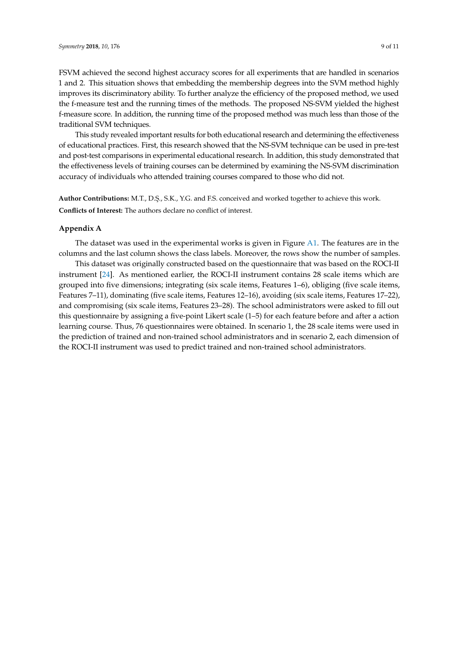FSVM achieved the second highest accuracy scores for all experiments that are handled in scenarios 1 and 2. This situation shows that embedding the membership degrees into the SVM method highly improves its discriminatory ability. To further analyze the efficiency of the proposed method, we used the f-measure test and the running times of the methods. The proposed NS-SVM yielded the highest f-measure score. In addition, the running time of the proposed method was much less than those of the traditional SVM techniques.

This study revealed important results for both educational research and determining the effectiveness of educational practices. First, this research showed that the NS-SVM technique can be used in pre-test and post-test comparisons in experimental educational research. In addition, this study demonstrated that the effectiveness levels of training courses can be determined by examining the NS-SVM discrimination accuracy of individuals who attended training courses compared to those who did not.

Author Contributions: M.T., D.Ş., S.K., Y.G. and F.S. conceived and worked together to achieve this work.

**Conflicts of Interest:** The authors declare no conflict of interest.

#### <span id="page-8-0"></span>**Appendix A**

The dataset was used in the experimental works is given in Figure  $A1$ . The features are in the columns and the last column shows the class labels. Moreover, the rows show the number of samples.

This dataset was originally constructed based on the questionnaire that was based on the ROCI-II instrument [\[24\]](#page-10-23). As mentioned earlier, the ROCI-II instrument contains 28 scale items which are grouped into five dimensions; integrating (six scale items, Features 1–6), obliging (five scale items, Features 7–11), dominating (five scale items, Features 12–16), avoiding (six scale items, Features 17–22), and compromising (six scale items, Features 23–28). The school administrators were asked to fill out this questionnaire by assigning a five-point Likert scale (1–5) for each feature before and after a action learning course. Thus, 76 questionnaires were obtained. In scenario 1, the 28 scale items were used in the prediction of trained and non-trained school administrators and in scenario 2, each dimension of the ROCI-II instrument was used to predict trained and non-trained school administrators.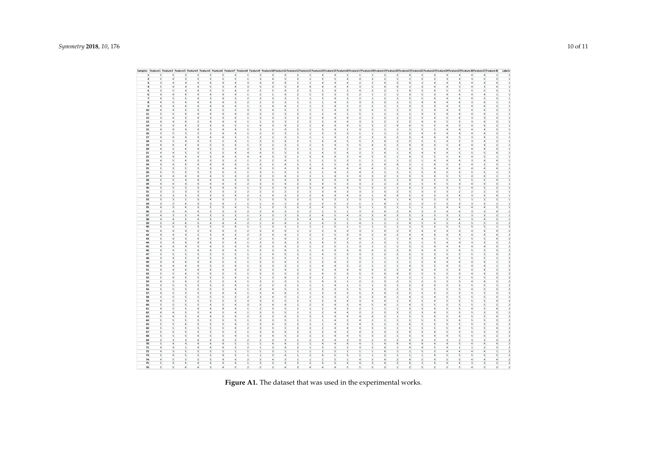<span id="page-9-0"></span>

|                      | Samples Feature2 Feature2 Feature3 Feature4 Feature5 Feature5 Feature8 Feature9 Feature9 Feature10Feature11Feature11Feature11Feature12Feature12Feature12Feature12Feature12Feature12Feature12Feature12Feature12Feature12Feature |                                         |                                  |                              |                                                                  |                                            |                                         |                                         |                                                    |                                  |                                  |                                         |                                           |                            |                                           |                                                    |                                  |                                      |                                |                                                    |                                                    |                                           |                            |                          |                                     |                                           |                                           | Labels                                    |
|----------------------|--------------------------------------------------------------------------------------------------------------------------------------------------------------------------------------------------------------------------------|-----------------------------------------|----------------------------------|------------------------------|------------------------------------------------------------------|--------------------------------------------|-----------------------------------------|-----------------------------------------|----------------------------------------------------|----------------------------------|----------------------------------|-----------------------------------------|-------------------------------------------|----------------------------|-------------------------------------------|----------------------------------------------------|----------------------------------|--------------------------------------|--------------------------------|----------------------------------------------------|----------------------------------------------------|-------------------------------------------|----------------------------|--------------------------|-------------------------------------|-------------------------------------------|-------------------------------------------|-------------------------------------------|
|                      | 5                                                                                                                                                                                                                              | 5                                       |                                  | 5                            |                                                                  |                                            |                                         | -3                                      |                                                    | 4                                | 2                                |                                         | Δ                                         | $\Delta$                   | $\mathcal{L}$                             |                                                    | л.                               | $\overline{2}$                       | 2                              | 4                                                  | 5                                                  | 4                                         | $\Delta$                   |                          |                                     | 4                                         | 1                                         | 1                                         |
| $\overline{2}$       | 5                                                                                                                                                                                                                              | 5                                       | 5                                |                              | 5                                                                |                                            |                                         | $\overline{\mathbf{3}}$                 | 4                                                  |                                  | $\overline{\mathbf{3}}$          |                                         | 5                                         |                            | $\overline{4}$                            |                                                    | $\overline{2}$                   | $\overline{2}$                       | $\mathbf{1}$                   | $\mathbf{1}$                                       |                                                    | $\overline{\mathbf{3}}$                   |                            |                          |                                     | $\overline{5}$                            |                                           | $\overline{1}$                            |
| $\mathbf 3$          | $\mathsf3$<br>$\overline{a}$                                                                                                                                                                                                   | $\overline{a}$                          | $\overline{4}$                   |                              | $\ddot{a}$<br>$\sqrt{4}$                                         | $\overline{4}$                             | $\overline{\mathbf{3}}$                 | $\overline{a}$                          | $\overline{4}$                                     | $\overline{4}$                   | $\mathbf{1}$                     | $\mathbf{1}$                            | $\sqrt{4}$                                | $\ddot{a}$                 |                                           | $\sqrt{4}$<br>$\overline{2}$                       | $\overline{2}$                   | $\overline{4}$                       | $\mathbf 2$                    | $\overline{a}$                                     | $\overline{2}$                                     | $\sqrt{4}$                                | $\overline{4}$             | $\overline{a}$           | $\overline{4}$                      | $\,$ 4 $\,$                               |                                           | $\overline{1}$                            |
| $\overline{a}$       | 5<br>$\overline{a}$                                                                                                                                                                                                            | $\overline{a}$                          | $\Delta$                         | 5                            | $\overline{\mathbf{3}}$                                          | $\,$ 4 $\,$                                | $\overline{\mathbf{3}}$                 | $\ensuremath{\mathsf{3}}$               | $\mathbf{3}$                                       | $\overline{\mathbf{3}}$          | $\mathfrak{a}$                   | $\overline{4}$                          | $\sqrt{4}$                                | $\sqrt{4}$                 | $\overline{4}$                            | $\overline{\mathbf{3}}$                            | $\overline{2}$                   | $\overline{4}$                       | $\overline{4}$                 | $\,$ 1 $\,$                                        | $\overline{\mathbf{3}}$                            | $\sqrt{4}$                                | $\overline{4}$             | 5                        | $\overline{4}$                      | $\overline{\mathbf{3}}$                   |                                           | $\overline{1}$                            |
| 5                    | 5<br>5                                                                                                                                                                                                                         | $\Delta$                                | $\Delta$                         |                              | 5<br>5                                                           | $\overline{4}$                             | $\overline{2}$                          | $\overline{2}$                          | 5                                                  | 4                                | $\mathcal{P}$                    | $\overline{2}$                          | $\overline{2}$                            | $\ddot{a}$                 | $\overline{2}$                            | $\overline{4}$                                     | $\mathbf 2$                      | $\overline{2}$                       | $\mathbf{1}$                   | $\overline{a}$                                     | 5                                                  | $\sqrt{4}$                                |                            |                          |                                     | 5                                         |                                           | $\overline{1}$                            |
| 6                    | $\Delta$<br>$\Delta$                                                                                                                                                                                                           | $\mathfrak{a}$                          | $\Delta$                         |                              | 4<br>$\Delta$                                                    | $\sqrt{2}$                                 | $\mathbf{1}$                            | $\mathcal{I}$                           | $\mathbf{1}$                                       | 4                                | 2                                | 1                                       | $\overline{\mathbf{3}}$                   | 3                          | $\mathbf{R}$                              | $\overline{2}$                                     | $\mathbf{1}$                     | $\mathbf{1}$                         | $\mathbf{1}$                   | $\overline{\mathbf{3}}$                            | 5                                                  | $\overline{\mathbf{3}}$                   | $\Delta$                   | $\mathfrak{a}$           |                                     | $\Delta$                                  |                                           | $\mathbf{1}$                              |
| $\overline{7}$       | $\Delta$<br>5                                                                                                                                                                                                                  | 5                                       | $\Delta$                         |                              | 3<br>$\Delta$                                                    |                                            | $\mathcal{I}$                           | $\mathbf{a}$                            | $\mathbf{R}$                                       |                                  | $\mathbf{1}$                     | $\mathbf{1}$                            | $\mathbf{R}$                              | $\Delta$                   | $\mathbf{R}$                              | $\overline{2}$                                     | $\mathbf{1}$                     | $\overline{2}$                       | $\mathbf{1}$                   | 5                                                  | 5                                                  | $\Delta$                                  | $\Delta$                   | $\mathfrak{a}$           | $\Lambda$                           | 5                                         |                                           | 1                                         |
| 8                    | $\overline{4}$<br>5                                                                                                                                                                                                            | $\overline{4}$                          | $\overline{4}$                   | $\overline{a}$               | $\overline{a}$                                                   | 3                                          | $\overline{2}$                          | $\mathbf{1}$                            | $\overline{\mathbf{3}}$                            | 3                                | 1                                | 1                                       | $\mathbf{1}$                              | $\Delta$                   | $\overline{2}$                            | $\overline{\mathbf{3}}$                            | $\overline{\mathbf{3}}$          | $\overline{\mathbf{3}}$              | $\mathbf{1}$                   | 1                                                  | $\overline{4}$                                     | $\overline{a}$                            | $\Delta$                   | $\overline{a}$           | 3                                   | $\overline{4}$                            |                                           | $\mathbf{1}$                              |
| $\overline{9}$<br>10 | $\overline{4}$<br>$\overline{a}$<br>$\,$ 4 $\,$<br>$\overline{a}$                                                                                                                                                              | $\overline{a}$<br>$\mathsf{S}$          | $\Delta$<br>$\overline{5}$       | $\overline{a}$<br>$\ddot{4}$ | $\overline{a}$<br>5                                              | $\mathfrak{a}$<br>$\overline{\mathbf{3}}$  | $\mathbf{1}$<br>$\overline{\mathbf{3}}$ | $\mathbf{1}$<br>$\overline{\mathbf{3}}$ | 4<br>$\ddot{a}$                                    | $\mathfrak{a}$<br>5              | $\mathbf{1}$<br>$\overline{1}$   | 1<br>$\mathbf{1}$                       | 5<br>5                                    | $\Delta$<br>$\ddot{a}$     | $\overline{2}$<br>$\overline{\mathbf{3}}$ | $\overline{2}$<br>$\overline{\mathbf{3}}$          | $\overline{2}$<br>$\overline{a}$ | $\mathbf{1}$<br>$\mathbf{1}$         | $\mathbf{1}$<br>$\mathbf{1}$   | $\overline{\mathbf{3}}$<br>$\overline{\mathbf{3}}$ | 5<br>5                                             | $\overline{\mathbf{3}}$<br>$\ddot{4}$     | $\Delta$<br>$\overline{4}$ | 5<br>$\overline{4}$      | $\Delta$<br>$\overline{a}$          | $\Delta$<br>$\overline{4}$                | $\mathcal{P}$                             | $\mathbf{1}$<br>$\overline{1}$            |
| ${\bf 11}$           | 5<br>5                                                                                                                                                                                                                         | $\overline{a}$                          | $\overline{4}$                   | $\ddot{4}$                   | 4                                                                | $\mathfrak{a}$                             | $\overline{2}$                          | $\overline{3}$                          | $\overline{\mathbf{3}}$                            |                                  | $\overline{\phantom{a}}$         | $\mathbf{1}$                            | $\overline{2}$                            | $\Delta$                   | $\mathbf{1}$                              | $\overline{\phantom{a}}$                           |                                  | $\mathbf{1}$                         | $\mathbf{1}$                   | $\mathbf{1}$                                       | $\overline{4}$                                     | 5                                         | $\overline{4}$             | $\overline{4}$           | $\overline{a}$                      |                                           |                                           | $\mathbf{1}$                              |
| $12\,$               | $\mathbf 3$<br>$\overline{a}$                                                                                                                                                                                                  | 3                                       | $\Delta$                         | $\overline{\mathbf{3}}$      | 3                                                                | $\overline{4}$                             | $\mathbf{1}$                            | $\overline{\mathbf{3}}$                 | $\overline{\mathbf{3}}$                            | 3                                | $\overline{2}$                   | $\overline{2}$                          | $\overline{a}$                            | $\overline{4}$             | $\overline{4}$                            | $\overline{2}$                                     | $\,$ 1 $\,$<br>$\overline{2}$    | $\overline{2}$                       | $\,$ 1 $\,$                    | $\overline{2}$                                     | 5                                                  | $\ddot{a}$                                | 5                          | $\mathfrak{a}$           | $\mathbf{a}$                        | 3                                         | 3                                         | $\mathbf{1}$                              |
| 13                   | $\,$ 4 $\,$<br>$\overline{a}$                                                                                                                                                                                                  | $\overline{4}$                          | $\overline{2}$                   | $\overline{a}$               | $\ddot{a}$                                                       | $\overline{4}$                             | $\mathbf{1}$                            | $\mathbf{1}$                            | $\overline{\mathbf{3}}$                            | 3                                | $\overline{1}$                   | $\mathbf 2$                             | $\overline{\mathbf{3}}$                   | $\overline{4}$             | $\overline{4}$                            | $\overline{\mathbf{3}}$                            | $\overline{2}$                   | $\overline{2}$                       | $\mathbf 1$                    | $\overline{2}$                                     | $\overline{4}$                                     | $\ddot{a}$                                | 5                          | $\overline{\mathbf{3}}$  | $\overline{\mathbf{3}}$             | $\overline{a}$                            | 3                                         | $\,$ 1                                    |
| 14                   | 5<br>$\overline{4}$                                                                                                                                                                                                            | $\mathbf{a}$                            | 3                                |                              | $\ddot{a}$<br>$\ddot{a}$                                         |                                            | $\mathbf{1}$                            | $\overline{4}$                          | $\overline{\mathbf{3}}$                            | $\overline{a}$                   | $\overline{2}$                   | $\mathbf{1}$                            | $\Delta$                                  | $\overline{a}$             | $\overline{4}$                            | 5                                                  | $\ensuremath{\mathsf{3}}$        | $\mathbf 1$                          | $\overline{4}$                 | $\Delta$                                           | 5                                                  | 5                                         | $\overline{4}$             |                          | $\mathfrak{a}$                      | $\overline{4}$                            | $\overline{2}$                            | $\mathbf{1}$                              |
| 15                   | $\overline{4}$<br>$\Delta$                                                                                                                                                                                                     | $\Delta$                                | $\Delta$                         | 5                            | $\Delta$                                                         | $\mathfrak{a}$                             | $\mathbf{1}$                            | $\mathbf{R}$                            | $\overline{1}$                                     | $\Delta$                         | $\mathcal{P}$                    | $\mathbf{1}$                            | $\mathbf{R}$                              | $\Delta$                   | $\overline{1}$                            | $\overline{\mathbf{3}}$                            | $\overline{\mathbf{3}}$          | $\mathbf{1}$                         | $\mathbf{1}$                   | $\mathbf{1}$                                       | 5                                                  | 5                                         | $\Delta$                   | $\mathfrak{a}$           | $\mathfrak{a}$                      | $\mathfrak{a}$                            | $\mathbf{a}$                              | $\mathbf{1}$                              |
| 16                   | 5<br>5                                                                                                                                                                                                                         | 5                                       | $\mathcal{P}$                    | $\mathbf{R}$                 | 4                                                                | $\Delta$                                   | -1                                      | $\overline{\phantom{a}}$                | $\mathbf{R}$                                       |                                  | $\mathbf{1}$                     | $\mathbf{1}$                            | 5                                         | $\mathbf{R}$               | $\mathbf{R}$                              | $\mathbf{1}$                                       | $\mathbf{1}$                     | $\mathbf{1}$                         | $\mathbf{1}$                   | $\overline{\mathbf{3}}$                            | $\Delta$                                           | $\Delta$                                  | $\Delta$                   |                          |                                     | $\Delta$                                  | $\mathcal{P}$                             | $\mathbf{1}$                              |
| 17                   | $\sqrt{4}$<br>4                                                                                                                                                                                                                | $\overline{a}$                          | 3                                | $\ddot{4}$                   | 4                                                                | $\overline{\mathbf{3}}$                    | $\mathbf{1}$                            | $\overline{\mathbf{3}}$                 | $\overline{2}$                                     | 3                                | $\mathbf{1}$                     | $\mathbf{1}$                            | $\mathbf{1}$                              | $\overline{a}$             |                                           | $\overline{2}$<br>$\overline{2}$                   | $\overline{\mathbf{3}}$          | $\overline{\mathbf{3}}$              | $\overline{2}$                 | $\overline{\mathbf{3}}$                            | $\overline{4}$                                     | 4                                         | $\ddot{a}$                 | 5                        | $\overline{\mathbf{3}}$             | $\overline{4}$                            | 1                                         | $\mathbf{1}$                              |
| 18                   | 4<br>5                                                                                                                                                                                                                         | $\overline{a}$                          | $\overline{4}$                   |                              |                                                                  |                                            |                                         | 3                                       | 3                                                  | 4                                |                                  | 1                                       | 4                                         | $\overline{4}$             |                                           | 5                                                  | 3                                | 4                                    | $\overline{2}$                 | 5                                                  |                                                    |                                           |                            |                          |                                     | $\overline{4}$                            |                                           | $\mathbf{1}$                              |
| 19                   | 4<br>4                                                                                                                                                                                                                         | $\overline{4}$                          | $\overline{4}$                   | 5                            |                                                                  | $\overline{a}$                             |                                         | $\overline{\mathbf{3}}$                 | $\overline{2}$                                     |                                  |                                  |                                         |                                           | $\overline{4}$             |                                           |                                                    | $\overline{4}$                   | 5                                    | $\overline{2}$                 | 4                                                  | $\overline{4}$                                     | 4                                         |                            | $\overline{a}$           | $\overline{a}$                      | 4                                         |                                           |                                           |
| 20                   | $\overline{a}$<br>5                                                                                                                                                                                                            | $\mathfrak{a}$                          | $\Delta$                         |                              | 5<br>5                                                           | $\mathbf{R}$                               | $\overline{2}$                          | $\overline{\mathbf{3}}$                 | $\overline{\mathbf{3}}$                            | 5                                | $\mathbf{1}$                     | $\mathbf{1}$                            | 3                                         | $\overline{4}$             | $\overline{2}$                            | $\overline{2}$                                     | $\,$                             | $\overline{a}$                       | $\mathbf{1}$                   | 3                                                  | 5                                                  | 3                                         | $\Delta$                   | -5                       | $\mathfrak{a}$                      | $\sqrt{4}$                                |                                           | 1                                         |
| 21                   | $\overline{a}$<br>$\overline{a}$                                                                                                                                                                                               | 5                                       | 5                                |                              | 5<br>5                                                           | $\mathfrak{a}$                             | $\mathfrak{a}$                          | $\overline{4}$                          | 5                                                  | 5                                | ٩                                | $\mathbf{1}$                            | $\overline{a}$                            |                            | $\mathfrak{a}$                            | $\overline{2}$                                     | $\overline{\mathbf{2}}$          | $\overline{a}$                       | $\mathbf{1}$                   | 4                                                  | $\overline{4}$                                     | 4                                         | $\Delta$                   |                          | 5                                   | 5                                         | 4                                         | $\overline{1}$                            |
| 22                   | $\overline{a}$<br>4                                                                                                                                                                                                            | $\overline{4}$                          | $\overline{4}$                   | $\overline{\mathbf{3}}$      | 4                                                                | $\overline{a}$                             | $\Delta$                                | $\overline{4}$                          | 3                                                  | $\overline{\mathbf{3}}$          | 1                                | $\overline{\mathbf{3}}$                 | $\overline{a}$                            | $\overline{4}$             | $\mathbf{R}$                              | 4                                                  | $\overline{\phantom{a}}$         | 5                                    | $\mathbf{1}$                   | 4                                                  | 5                                                  | 5                                         | 5                          | $\mathfrak{a}$           | $\overline{a}$                      | -5                                        |                                           | 1                                         |
| 23                   | $\overline{4}$<br>5                                                                                                                                                                                                            | $\overline{4}$                          | $\overline{\mathbf{3}}$          | $\overline{\mathbf{3}}$      | $\overline{\mathbf{3}}$                                          | $\overline{\mathbf{3}}$                    | 1                                       | $\overline{2}$                          | $\overline{2}$                                     | $\overline{4}$                   | 1                                | $\mathbf{1}$                            | $\overline{2}$                            | 5                          | $\overline{\mathbf{3}}$                   | $\mathbf{1}$                                       | $\mathbf{1}$                     | $\mathbf{1}$                         | $\mathbf{1}$                   | $\overline{2}$                                     | $\mathbf{1}$                                       | $\overline{a}$                            | $\overline{4}$             | $\overline{a}$           | $\overline{\mathbf{3}}$             | $\overline{4}$                            | 4                                         | $\mathbf{1}$                              |
| ${\bf 24}$           | $\,$ 4 $\,$<br>$\,$ 4 $\,$                                                                                                                                                                                                     | $\overline{4}$                          | $\overline{4}$                   | $\ddot{a}$                   | $\ddot{a}$                                                       | $\overline{4}$                             | $\mathbf{1}$                            | $\ensuremath{\mathsf{3}}$               | $\overline{2}$                                     | $\overline{4}$                   | $\mathbf{1}$                     | $\mathbf{1}$                            | $\overline{2}$                            | $\overline{5}$             | $\overline{a}$                            | $\overline{2}$                                     | $\overline{2}$                   | $\ddot{a}$                           | $\overline{4}$                 | $\mathbf{1}$                                       | $\,$ 1 $\,$                                        | $\ddot{a}$                                | $\mathsf{S}$               | $\overline{a}$           | $\overline{a}$                      | $\overline{2}$                            |                                           | $\mathbf{1}$                              |
| 25                   | 5<br>$\overline{\mathbf{3}}$                                                                                                                                                                                                   | 5                                       | $\overline{\mathbf{3}}$          |                              | $\overline{\mathbf{3}}$<br>$\ddot{a}$                            | $\overline{4}$                             | $\overline{\mathbf{3}}$                 | $\ensuremath{\mathsf{3}}$               | $\overline{\mathbf{3}}$                            | $\overline{4}$                   | $\overline{\mathbf{3}}$          | $\overline{4}$                          | $\ddot{a}$                                | $\overline{4}$             | $\overline{a}$                            | $\overline{4}$                                     | $\,$ 4 $\,$                      | $\overline{2}$                       | $\mathbf 1$                    | $\overline{a}$                                     | 5                                                  | $\ddot{a}$                                | $\overline{4}$             | $\overline{a}$           | $\overline{a}$                      | $\overline{4}$                            |                                           | $\mathbf{1}$                              |
| 26                   | 5<br>5                                                                                                                                                                                                                         | 5                                       | 5                                | 5                            | 5                                                                | 5                                          | $\mathbf{1}$                            | $\ensuremath{\mathsf{3}}$               | $\mathbf{1}$                                       | 5                                | $\overline{1}$                   | $\,$ 1                                  | $\overline{1}$                            | $\overline{4}$             | $\overline{2}$                            | $\overline{4}$                                     | $\overline{2}$                   | $\mathbf{1}$                         | $\,1\,$                        | $\mathbf{1}$                                       | 5                                                  | $\sqrt{4}$                                | 5                          | $\overline{\mathbf{3}}$  | 5                                   | 5                                         | $\mathbf{1}$                              | $\mathbf{1}$                              |
| 27                   | $\,$ 4 $\,$<br>$\sqrt{4}$                                                                                                                                                                                                      | $\overline{a}$                          | $\overline{4}$                   | $\ddot{a}$                   | 5                                                                | $\,$ 4 $\,$                                | $\overline{\mathbf{2}}$                 | $\overline{\mathbf{3}}$                 | 3                                                  | $\overline{4}$                   | $\overline{2}$                   | $\mathbf{1}$                            | $\mathbf 1$                               | $\overline{4}$             | $\overline{\mathbf{3}}$                   | $\sqrt{4}$                                         | $\ensuremath{\mathsf{3}}$        | $\boldsymbol{2}$                     | $\,1\,$                        | 3                                                  | 5                                                  | $\sqrt{4}$                                | 5                          |                          | $\overline{4}$                      | 4                                         |                                           | $\overline{1}$                            |
| 28                   | 5<br>5                                                                                                                                                                                                                         | $\overline{a}$                          | $\overline{4}$                   | $\ddot{4}$                   | 4                                                                | $\overline{4}$                             |                                         | $\overline{\mathbf{3}}$                 |                                                    | 4                                |                                  | 3                                       |                                           | $\overline{4}$             | 4                                         | $\overline{4}$                                     | 5                                | 5                                    | $\,$ 1                         | 4                                                  | $\overline{4}$                                     |                                           |                            |                          |                                     |                                           | 4                                         | $\mathbf{1}$                              |
| 29                   | $\sqrt{4}$<br>4                                                                                                                                                                                                                | $\overline{4}$                          | $\Delta$                         | $\overline{4}$               | $\overline{a}$                                                   | $\mathbf{R}$                               | $\overline{2}$                          | $\overline{\mathbf{3}}$                 | $\overline{\mathbf{3}}$                            | $\Delta$                         | $\overline{2}$                   | 3                                       | $\Delta$                                  | 5                          | $\overline{\mathbf{3}}$                   | $\overline{\mathbf{3}}$                            | $\overline{2}$                   | $\overline{2}$                       | $\overline{2}$                 | $\overline{\mathbf{3}}$                            | 5                                                  | $\overline{a}$                            | 5                          | $\mathfrak{a}$           | $\Delta$                            | 4                                         | з                                         | $\mathbf{1}$                              |
| 30                   | 5<br>5                                                                                                                                                                                                                         | 5                                       | $\mathbf{R}$                     | $\Delta$                     | $\Delta$                                                         | $\sqrt{2}$                                 | -1                                      | $\mathbf{a}$                            | з                                                  | 4                                | $\mathcal{P}$                    | $\overline{\mathbf{3}}$                 | $\Delta$                                  | $\Delta$                   | $\Delta$                                  | 5                                                  | 3                                | $\overline{2}$                       | $\mathbf{1}$                   | $\Delta$                                           | $\mathcal{P}$                                      | $\Delta$                                  |                            |                          |                                     |                                           | 2                                         | $\mathbf{1}$                              |
| 31                   | $\overline{\mathbf{3}}$<br>$\overline{2}$                                                                                                                                                                                      | $\overline{\mathbf{3}}$                 | $\overline{\mathbf{3}}$          | $\overline{\mathbf{3}}$      | 3                                                                | $\mathcal{L}$                              | $\overline{2}$                          | $\overline{2}$                          | $\overline{\mathbf{3}}$                            | $\overline{2}$                   | $\overline{2}$                   | $\overline{2}$                          | $\overline{\mathbf{3}}$                   | $\overline{4}$             | $\overline{\mathbf{3}}$                   | $\overline{\mathbf{3}}$                            | $\overline{2}$                   | $\overline{\mathbf{3}}$              | $\overline{2}$                 | 5                                                  | $\overline{\mathbf{3}}$                            | $\overline{\mathbf{3}}$                   | $\mathbf{R}$               | $\mathcal{L}$            | $\mathcal{P}$                       | $\overline{2}$                            | з                                         | $\overline{1}$                            |
| 32                   | 5<br>$\overline{\mathbf{3}}$                                                                                                                                                                                                   | $\overline{\mathbf{3}}$<br>$\mathbf{1}$ | $\overline{\mathbf{3}}$          | $\overline{\mathbf{3}}$      | $\overline{\mathbf{3}}$<br>4                                     | $\mathfrak{a}$                             | $\overline{2}$                          | 1                                       | $\overline{a}$                                     | з                                | $\overline{2}$                   | $\overline{2}$<br>$\overline{2}$        | $\overline{a}$<br>$\overline{\mathbf{3}}$ | $\overline{4}$             | $\overline{4}$<br>$\overline{2}$          | $\overline{\mathbf{3}}$<br>$\overline{\mathbf{3}}$ | $\mathbf{1}$                     | $\overline{a}$<br>$\ddot{a}$         | $\overline{a}$<br>$\mathbf{1}$ | 5<br>4                                             | $\overline{\mathbf{3}}$<br>$\overline{\mathbf{3}}$ | $\overline{\mathbf{3}}$                   | $\mathbf{R}$               | $\mathfrak{a}$           | ર                                   | $\overline{\mathbf{3}}$<br>$\overline{2}$ | 4                                         | $\mathbf{1}$<br>$\overline{1}$            |
| 33                   | $\mathbf 3$<br>3<br>$\overline{2}$                                                                                                                                                                                             | $\overline{a}$                          | 3<br>$\overline{\mathbf{3}}$     |                              | $\overline{\mathbf{3}}$<br>$\overline{\mathbf{3}}$<br>$\ddot{a}$ |                                            | $\overline{2}$                          | $\mathbf{1}$                            | $\overline{\mathbf{3}}$<br>$\overline{\mathbf{3}}$ | 3                                | $\overline{2}$<br>$\overline{2}$ | $\overline{2}$                          | $\overline{\mathbf{3}}$                   | $\overline{\mathbf{3}}$    |                                           |                                                    | $\mathbf 2$                      | $\ddot{a}$                           | $\mathbf{1}$                   |                                                    | $\overline{\mathbf{3}}$                            | $\overline{\mathbf{3}}$<br>$\overline{2}$ |                            | $\mathbf{1}$             |                                     |                                           | $\overline{2}$                            | $\overline{1}$                            |
| $34\,$<br>35         | $\mathsf3$<br>$\,$ 4 $\,$<br>3                                                                                                                                                                                                 | $\Delta$                                | $\overline{\mathbf{3}}$          |                              | 5<br>$\overline{\mathbf{3}}$                                     | $\Delta$                                   | $\mathbf{1}$<br>$\mathbf{1}$            | $\mathbf{1}$<br>$\mathbf{1}$            | $\overline{\mathbf{3}}$                            | з                                | $\overline{2}$                   | $\overline{2}$                          | $\ddot{a}$                                |                            | 5                                         | $\,$ 1 $\,$<br>$\mathbf{1}$<br>$\mathbf{R}$        | $\,1$<br>$\,1$                   | 3                                    | $\mathbf{1}$                   | $\mathbf{1}$<br>$\mathbf{1}$                       | $\mathbf{1}$                                       | $\overline{\mathbf{3}}$                   | $\Delta$                   | $\overline{a}$           | $\overline{\mathbf{3}}$<br>$\Delta$ | 3<br>$\overline{4}$                       |                                           | $\overline{1}$                            |
| 36                   | $\overline{\mathbf{3}}$<br>$\Delta$                                                                                                                                                                                            | $\Delta$                                | $\Delta$                         |                              | $\overline{\mathbf{3}}$<br>$\overline{\mathbf{3}}$               |                                            | $\overline{2}$                          | $\overline{\mathbf{3}}$                 | $\ddot{a}$                                         |                                  | $\mathcal{P}$                    | $\overline{2}$                          | $\mathbf{1}$                              |                            | $\mathbf{1}$                              | $\mathbf{R}$                                       | $\overline{\mathbf{3}}$          | $\ddot{a}$                           | $\overline{2}$                 | $\Delta$                                           | $\overline{\mathbf{3}}$                            | 3                                         | $\Delta$                   | $\overline{a}$           | $\mathbf{a}$                        | 3                                         |                                           | $\mathbf{1}$                              |
| 37                   | $\Delta$<br>$\mathbf{a}$                                                                                                                                                                                                       | $\mathbf{a}$                            | $\Delta$                         | $\overline{\mathbf{3}}$      | $\mathbf{R}$                                                     | $\mathbf{R}$                               | $\mathbf{1}$                            | $\mathbf{R}$                            | $\mathbf{R}$                                       | $\mathbf{a}$                     | $\mathbf{a}$                     | $\mathcal{I}$                           | $\Delta$                                  | 5                          | $\mathfrak{a}$                            | $\mathbf{R}$                                       | $\overline{\mathbf{3}}$          | $\Delta$                             | $\mathbf{R}$                   | 5                                                  | $\mathbf{R}$                                       | $\mathbf{R}$                              | $\mathbf{R}$               | $\mathbf{R}$             | $\mathbf{R}$                        | $\overline{\mathbf{3}}$                   |                                           | 1                                         |
| 38                   | $\Delta$<br>$\Delta$                                                                                                                                                                                                           | $\mathbf{a}$                            | $\Delta$                         | $\mathbf{R}$                 | $\mathbf{R}$                                                     | $\sqrt{2}$                                 | $\mathcal{I}$                           | $\mathcal{L}$                           | $\mathcal{P}$                                      | з                                | $\mathbf{a}$                     | $\Delta$                                | $\Delta$                                  | $\Lambda$                  | $\overline{\phantom{a}}$                  | $\mathbf{R}$                                       | $\overline{\phantom{a}}$         | $\mathbf{R}$                         | $\mathbf{1}$                   | $\mathbf{a}$                                       | $\mathfrak{a}$                                     | $\Delta$                                  | $\mathbf{R}$               | $\mathfrak{a}$           | $\mathbf{a}$                        | $\mathfrak{a}$                            |                                           | 1                                         |
| 39                   | 5<br>$\Delta$                                                                                                                                                                                                                  | $\Delta$                                | 5                                | $\Delta$                     | $\Delta$                                                         | $\Delta$                                   | $\overline{2}$                          | $\mathbf{1}$                            | $\Delta$                                           | $\Delta$                         | $\mathbf{1}$                     | $\mathbf{1}$                            | $\Delta$                                  | 5                          | $\overline{1}$                            | $\mathfrak{a}$                                     | $\mathbf{1}$                     | $\mathbf{1}$                         | $\mathbf{1}$                   | $\Delta$                                           | 5                                                  | $\Delta$                                  | $\mathsf{S}$               | $\mathfrak{a}$           | 5                                   | $\overline{\phantom{a}}$                  |                                           | $\overline{2}$                            |
| 40                   | 5<br>5                                                                                                                                                                                                                         | 5                                       | 5                                |                              | 5<br>5                                                           | $\overline{a}$                             |                                         | $\mathbf{1}$                            |                                                    |                                  |                                  |                                         |                                           |                            | $\mathbf{1}$                              | $\mathbf{1}$                                       | $\mathbf{1}$                     | $\mathbf{1}$                         | $\mathbf{1}$                   | $\mathbf{1}$                                       | 5                                                  | $\overline{2}$                            | 5                          | 5                        | 5                                   |                                           |                                           | $\overline{2}$                            |
| 41                   | $\overline{a}$<br>4                                                                                                                                                                                                            | $\overline{4}$                          | $\overline{2}$                   | 4                            | 4                                                                |                                            | $\overline{2}$                          | $\overline{\mathbf{3}}$                 | 4                                                  | 4                                |                                  | $\overline{2}$                          | $\overline{2}$                            | $\overline{4}$             | $\overline{a}$                            | $\overline{\mathbf{3}}$                            | $\overline{2}$                   | 4                                    | $\overline{2}$                 | 4                                                  | $\overline{4}$                                     | 4                                         | 4                          | $\overline{a}$           | $\overline{a}$                      |                                           |                                           | $\overline{2}$                            |
| 42                   | $\overline{a}$<br>4                                                                                                                                                                                                            | $\overline{4}$                          | $\overline{2}$                   |                              | 3<br>4                                                           |                                            |                                         |                                         |                                                    |                                  |                                  | $\overline{2}$                          |                                           |                            | 4                                         | $\overline{\mathbf{3}}$                            | $\overline{2}$                   | 4                                    | $\overline{2}$                 | 4                                                  | 4                                                  |                                           | 4                          |                          |                                     |                                           |                                           | $\overline{2}$                            |
| 43                   | 5<br>4                                                                                                                                                                                                                         | 5                                       | $\overline{4}$                   | 5                            | $\overline{a}$                                                   | 4                                          | $\overline{2}$                          | $\overline{2}$                          | 5                                                  | $\overline{4}$                   | $\mathbf{1}$                     | $\mathbf{1}$                            | $\overline{2}$                            | $\overline{a}$             | $\overline{2}$                            | $\overline{4}$                                     | $\mathbf{1}$                     | $\overline{2}$                       | $\mathbf{1}$                   | 4                                                  | $\overline{a}$                                     | 5                                         | 5                          | 5                        | 5                                   | $\overline{\phantom{a}}$                  | 4                                         | $\overline{2}$                            |
| 44                   | 5<br>4                                                                                                                                                                                                                         | $\overline{a}$                          | $\Delta$                         | $\overline{4}$               |                                                                  | $\Delta$                                   | $\mathbf{1}$                            | $\overline{\mathbf{3}}$                 | $\overline{\mathbf{3}}$                            | $\Delta$                         | $\overline{2}$                   | $\overline{2}$                          | $\overline{a}$                            | 5                          | $\overline{\mathbf{3}}$                   | $\overline{2}$                                     | $\overline{2}$                   | $\overline{\mathbf{3}}$              | $\mathbf{1}$                   | 3                                                  | $\mathbf{1}$                                       | 3                                         | $\overline{a}$             | $\mathfrak{a}$           | $\mathbf{R}$                        | 3                                         | $\mathcal{P}$                             | $\overline{2}$                            |
| 45                   | $\overline{4}$<br>4                                                                                                                                                                                                            | $\overline{4}$                          | 5                                | 4                            | 5                                                                | $\overline{a}$                             | 5                                       | $\overline{\mathbf{3}}$                 | $\overline{\mathbf{3}}$                            | 4                                | $\mathbf{1}$                     | 1                                       | $\overline{2}$                            | 5                          | $\mathbf{1}$                              | $\overline{\mathbf{3}}$                            | $\mathbf{1}$                     | $\mathbf{1}$                         | $\mathbf{1}$                   | 5                                                  | 5                                                  | 4                                         | $\overline{a}$             | $\overline{a}$           | 4                                   | 4                                         | 3                                         | $\overline{2}$                            |
| 46                   | $\overline{a}$<br>4                                                                                                                                                                                                            | 5                                       | $\overline{4}$                   | 4                            | 4                                                                | $\Delta$                                   | -1                                      | 3                                       | 3                                                  | Δ                                | 1                                | 1                                       | 4                                         | $\overline{4}$             | $\overline{a}$                            | 4                                                  | $\overline{4}$                   | $\overline{2}$                       | $\overline{2}$                 | 4                                                  | $\overline{a}$                                     | 4                                         |                            | $\mathfrak{a}$           | 5                                   | 5                                         | з                                         | $\overline{2}$                            |
| 47                   | 5<br>5                                                                                                                                                                                                                         | 5                                       | 5                                | 5                            |                                                                  |                                            |                                         | -1                                      | 4                                                  |                                  |                                  | 1                                       | 4                                         | 5                          | 3                                         | $\overline{\mathbf{3}}$                            | $\overline{2}$                   | 2                                    | 2                              | $\overline{2}$                                     |                                                    |                                           |                            |                          |                                     | 5                                         |                                           | 2                                         |
| 48                   | $\overline{\mathbf{3}}$<br>4                                                                                                                                                                                                   | 5                                       | 5                                |                              | 5                                                                |                                            | 1                                       | $\overline{2}$                          | 5                                                  | 5                                | $\mathbf{1}$                     | 1                                       | $\mathbf{1}$                              | $\overline{2}$             | $\mathbf{1}$                              | $\overline{\mathbf{3}}$                            | $\,$                             | 1                                    | $\mathbf{1}$                   | 5                                                  | 5                                                  | $\ddot{a}$                                | $\ddot{4}$                 |                          | 5                                   | 5                                         |                                           | $\overline{\mathbf{c}}$                   |
| 49                   | 4<br>4                                                                                                                                                                                                                         | $\overline{a}$                          | 4                                |                              | 4                                                                |                                            |                                         | $\overline{2}$                          | 3                                                  | 4                                | $\overline{1}$                   | $\mathbf{1}$                            | $\overline{2}$                            | $\ddot{a}$                 | $\overline{2}$                            | $\overline{2}$                                     | $\mathbf{1}$                     |                                      | $\mathbf{1}$                   | $\mathbf{1}$                                       |                                                    | 4                                         |                            |                          | 4                                   | $\overline{4}$                            |                                           | $\overline{\mathbf{c}}$                   |
| 50<br>51             | 4<br>4<br>$\Delta$<br>$\Delta$                                                                                                                                                                                                 | $\overline{a}$<br>$\mathfrak{a}$        | $\Delta$<br>$\Delta$             | 4                            | 5<br>5<br>$\Delta$                                               | 4<br>$\mathfrak{a}$                        | $\mathbf{1}$<br>$\overline{2}$          | 3<br>$\overline{\mathbf{3}}$            | $\overline{\mathbf{3}}$<br>$\overline{\mathbf{3}}$ | 3<br>$\mathfrak{a}$              | $\mathbf{1}$<br>$\mathcal{P}$    | $\mathbf{1}$<br>$\overline{2}$          | 4<br>$\Delta$                             | $\overline{4}$<br>$\Delta$ | $\Delta$                                  | $\overline{2}$<br>$\mathfrak{a}$                   | $\mathbf{1}$<br>$\mathfrak{a}$   | $\mathbf{1}$<br>$\overline{2}$       | $\mathbf{1}$<br>$\overline{2}$ | 4<br>$\Delta$                                      | 5<br>$\overline{a}$                                | 5<br>$\Delta$                             | $\overline{4}$<br>5        | $\mathfrak{a}$           | 4<br>$\Delta$                       | $\sqrt{4}$<br>$\overline{4}$              | з                                         | $\overline{2}$<br>$\overline{2}$          |
|                      |                                                                                                                                                                                                                                |                                         |                                  |                              |                                                                  |                                            |                                         |                                         |                                                    |                                  |                                  |                                         |                                           |                            |                                           |                                                    |                                  |                                      |                                |                                                    |                                                    |                                           |                            |                          |                                     |                                           |                                           |                                           |
| 52<br>53             | 5<br>5<br>5<br>4                                                                                                                                                                                                               | $\mathfrak{a}$<br>$\mathsf{S}$          | 5<br>5                           | 5<br>5                       | 5<br>5                                                           | $\overline{\phantom{a}}$<br>$\overline{a}$ | $\mathbf{1}$<br>1                       | $\overline{\mathbf{3}}$<br>$\mathbf{1}$ | $\overline{\mathbf{3}}$<br>$\overline{\mathbf{3}}$ | 5<br>$\overline{4}$              | $\overline{2}$<br>1              | $\mathbf{1}$<br>$\overline{\mathbf{3}}$ | $\Delta$<br>$\overline{2}$                | 5<br>5                     | $\mathbf{1}$                              | 5<br>$\mathbf{1}$                                  | 5<br>$\overline{2}$              | $\Delta$<br>$\overline{\phantom{a}}$ | $\mathfrak{a}$<br>$\mathbf{1}$ | 5<br>1                                             | 5<br>$\mathbf{1}$                                  | 5<br>5                                    | 5<br>5                     | $\mathbf{R}$<br>5        | $\Delta$<br>5                       | $\Delta$<br>$\overline{\phantom{a}}$      | з                                         | $\overline{\mathbf{2}}$<br>$\overline{2}$ |
| 54                   | $\overline{4}$<br>3                                                                                                                                                                                                            | $\overline{a}$                          | $\overline{2}$                   | $\overline{2}$               | $\overline{2}$                                                   | $\overline{\mathbf{3}}$                    | 1                                       | $\overline{\mathbf{3}}$                 | $\overline{2}$                                     | $\overline{\mathbf{3}}$          | $\mathbf{1}$                     | $\mathbf{1}$                            | $\overline{a}$                            | $\overline{\mathbf{3}}$    | $\mathbf{1}$                              | $\overline{2}$                                     | $\overline{2}$                   | $\overline{\mathbf{3}}$              | $\overline{2}$                 | $\mathbf{1}$                                       | $\overline{2}$                                     | $\overline{\mathbf{3}}$                   | $\overline{\mathbf{3}}$    | 5                        | $\overline{4}$                      | $\overline{4}$                            | $\mathcal{P}$                             | $\overline{2}$                            |
| 55                   | 5<br>5                                                                                                                                                                                                                         | $\mathsf{S}$                            | 5                                |                              | 5<br>5                                                           | $\overline{4}$                             | $\mathbf{1}$                            | $\overline{2}$                          | $\overline{2}$                                     | $\overline{2}$                   | $\mathbf{1}$                     | $\mathbf{1}$                            | $\mathbf{1}$                              | $\ddot{a}$                 | $\mathbf{1}$                              | $\mathbf{1}$                                       | $\,$ 1 $\,$                      | $\mathbf{3}$                         | $\mathbf{1}$                   | $\overline{2}$                                     | $\overline{3}$                                     | $\ddot{a}$                                | $\mathsf{S}$               | 5                        | $\overline{5}$                      | $\overline{\phantom{a}}$                  |                                           | $\overline{2}$                            |
| 56                   | 5<br>5                                                                                                                                                                                                                         | 5                                       | 5                                |                              | 5<br>5                                                           | $\overline{4}$                             | $\mathbf{1}$                            | $\overline{\mathbf{3}}$                 | $\ddot{a}$                                         | 5                                | $\mathbf{1}$                     | $\mathbf{1}$                            | $\overline{\mathbf{3}}$                   | $\overline{\mathbf{3}}$    | $\overline{\phantom{a}}$                  | $\overline{5}$                                     | $\ensuremath{\mathsf{3}}$        | $\overline{\mathbf{3}}$              | $\overline{2}$                 | 5                                                  | $\overline{5}$                                     | 5                                         | $\mathsf{S}$               | 5                        | $\overline{4}$                      |                                           |                                           | $\overline{2}$                            |
| 57                   | $\,$ 4 $\,$<br>5                                                                                                                                                                                                               | $\mathsf{s}$                            | 5                                | 5                            | $\ddot{a}$                                                       | $\overline{4}$                             | $\mathbf{1}$                            | $\overline{\mathbf{3}}$                 | 4                                                  | $\overline{4}$                   | $\mathbf{1}$                     | $\,$ 1                                  | $\overline{\mathbf{3}}$                   | $\overline{\mathbf{3}}$    | $\overline{\mathbf{3}}$                   | 5                                                  | $\overline{\mathbf{3}}$          | $\overline{a}$                       | $\overline{2}$                 | 5                                                  | 5                                                  | $\ddot{a}$                                | 5                          | 5                        | 5                                   | 5                                         | 3                                         | $\overline{2}$                            |
| 58                   | 5<br>5                                                                                                                                                                                                                         | $\mathsf{S}$                            | 5                                | 5                            | 5                                                                | $\mathbf{R}$                               | $\overline{2}$                          | $\overline{3}$                          | 4                                                  | 5                                | $\mathbf{1}$                     | $\,$ 1                                  | $\overline{\mathbf{3}}$                   | $\overline{\mathbf{3}}$    | $\overline{2}$                            | $\overline{\mathbf{3}}$                            | $\ensuremath{\mathsf{3}}$        | $\ddot{a}$                           | $\mathbf{1}$                   | $\Delta$                                           | 5                                                  | 4                                         | 5                          |                          | 5                                   | 5                                         |                                           | $\overline{2}$                            |
| 59                   | $\overline{4}$<br>5                                                                                                                                                                                                            | $\mathsf{S}$                            | 5                                | 5                            | 5                                                                | $\overline{\phantom{a}}$                   | $\mathbf{R}$                            | $\mathbf{R}$                            | 5                                                  | 5                                | $\mathcal{P}$                    | $\mathbf{1}$                            | $\overline{\mathbf{3}}$                   | $\Delta$                   | $\mathfrak{a}$                            | $\overline{\mathbf{3}}$                            | $\mathsf3$                       | $\Delta$                             | $\mathbf{1}$                   | $\Delta$                                           | 5                                                  | $\Delta$                                  | 5                          | 5                        | $\overline{\phantom{a}}$            | 5                                         | л                                         | $\overline{2}$                            |
| 60                   | 5<br>5                                                                                                                                                                                                                         | 5                                       | 5                                | $\Delta$                     | 5                                                                | $\mathfrak{a}$                             | $\mathbf{a}$                            | $\mathbf{R}$                            | $\Delta$                                           | $\Delta$                         | $\mathbf{1}$                     | $\overline{2}$                          | $\overline{\mathbf{3}}$                   | $\Delta$                   | $\mathbf{R}$                              | $\overline{4}$                                     | 5                                | $\Delta$                             | $\mathbf{1}$                   | $\overline{a}$                                     | 5                                                  | 5                                         | 5                          | 5                        | 5                                   | 5                                         | 2                                         | $\overline{2}$                            |
| 61                   | $\overline{a}$<br>5                                                                                                                                                                                                            | 5                                       | $\Delta$                         | $\Delta$                     | $\Delta$                                                         |                                            |                                         | $\mathcal{P}$                           |                                                    | 5                                | 1                                | $\mathbf{1}$                            | $\mathcal{P}$                             | $\Delta$                   |                                           | $\overline{2}$                                     | $\mathbf{1}$                     | $\mathbf{1}$                         | $\mathbf{1}$                   | $\mathbf{a}$                                       | $\mathbf{a}$                                       | $\Delta$                                  |                            |                          | $\overline{\phantom{a}}$            |                                           |                                           | $\overline{2}$                            |
| 62                   | $\overline{4}$<br>4                                                                                                                                                                                                            | 5                                       | 5                                | $\Delta$                     | 5                                                                | $\Delta$                                   | -1                                      | $\overline{\mathbf{3}}$                 | $\overline{\mathbf{3}}$                            | 5                                | $\mathbf{1}$                     | $\mathbf{1}$                            | $\overline{2}$                            | $\overline{4}$             | $\mathfrak{a}$                            | $\overline{2}$                                     | $\overline{2}$                   | $\overline{\mathbf{3}}$              | $\overline{\mathbf{3}}$        | $\overline{2}$                                     | $\overline{\mathbf{3}}$                            | $\overline{a}$                            | 5                          | 5                        | 5                                   | 3                                         | з                                         | $\overline{2}$                            |
| 63                   | 5<br>4                                                                                                                                                                                                                         | 5                                       | $\Delta$                         | $\Delta$                     |                                                                  |                                            | $\mathcal{P}$                           | ર                                       | 3                                                  | 4                                | 2                                | $\mathbf{a}$                            | 3                                         | $\Delta$                   | $\mathfrak{a}$                            | $\overline{4}$                                     | $\overline{a}$                   | $\overline{2}$                       | $\mathbf{1}$                   | 5                                                  | 5                                                  | $\Delta$                                  |                            | $\mathfrak{a}$           | 5                                   | 5                                         |                                           | $\overline{2}$                            |
| 64                   | 5<br>5                                                                                                                                                                                                                         | 5                                       | 5                                |                              | 5<br>5                                                           |                                            |                                         | $\overline{3}$                          | $\overline{\mathbf{3}}$                            | 5                                |                                  | $\mathbf{1}$                            | $\mathbf{1}$                              | $\ddot{a}$                 | $\overline{2}$                            | $\overline{4}$                                     | $\overline{2}$                   | $\mathbf{1}$                         | $\mathbf{1}$                   | $\overline{2}$                                     | 5                                                  | 5                                         | 5                          | $\mathfrak{a}$           | 5                                   | 5                                         |                                           | $\overline{2}$                            |
| 65                   | 5                                                                                                                                                                                                                              | $\overline{a}$                          | 5                                |                              | 5                                                                | $\Delta$                                   |                                         |                                         | $\ddot{a}$                                         |                                  | $\overline{2}$                   |                                         | $\mathbf{1}$                              | $\ddot{a}$                 |                                           | $\overline{4}$                                     | $\overline{\mathbf{3}}$          | $\overline{2}$                       | $\mathbf{1}$                   | 4                                                  | 5                                                  |                                           |                            |                          |                                     |                                           |                                           | $\overline{2}$                            |
| 66                   | 5<br>5                                                                                                                                                                                                                         | 5                                       | 5                                |                              | 5<br>5                                                           | $\Delta$                                   | $\overline{2}$                          | $\overline{\mathbf{3}}$                 | 5                                                  | 5                                | $\overline{2}$                   | $\overline{2}$                          | $\overline{2}$                            | $\overline{4}$             | $\overline{a}$                            | $\overline{4}$                                     | $\mathsf{S}$                     | $\overline{\mathbf{3}}$              | $\mathbf{1}$                   | 5                                                  | 5                                                  | 5                                         | 5                          | $\overline{a}$           | 5                                   | 5                                         |                                           | $\overline{2}$                            |
| 67                   | 5<br>5                                                                                                                                                                                                                         | 5                                       | 5                                |                              | 5                                                                |                                            |                                         |                                         | $\Delta$                                           | $\Delta$                         | 2                                | $\overline{2}$                          |                                           | $\Delta$                   |                                           | $\mathfrak{a}$                                     | $\overline{2}$                   | $\overline{\mathbf{3}}$              | $\overline{2}$                 | $\Delta$                                           | 5                                                  | 4                                         |                            |                          |                                     |                                           |                                           |                                           |
| 68                   | 5<br>5                                                                                                                                                                                                                         | 5                                       | $\overline{4}$                   | 5                            | 5                                                                | $\Delta$                                   | $\mathbf{1}$                            | $\overline{\mathbf{3}}$                 | 4                                                  | 5                                | $\overline{2}$                   | $\overline{2}$                          | $\overline{2}$                            | $\Delta$                   | $\mathfrak{a}$                            | 5                                                  | $\overline{\mathbf{3}}$          | $\overline{2}$                       | $\mathbf{1}$                   | 5                                                  | 3                                                  | 4                                         | $\ddot{a}$                 | 5                        | 5                                   | 5                                         |                                           | $\overline{2}$                            |
| 69                   | $\overline{\mathbf{3}}$<br>3                                                                                                                                                                                                   | $\overline{\mathbf{3}}$                 | $\overline{4}$                   | 4                            | 4                                                                | $\mathbf{R}$                               | $\overline{2}$                          | $\overline{2}$                          | $\overline{\mathbf{3}}$                            | з                                | $\mathbf{1}$                     | $\overline{2}$                          | $\overline{\mathbf{3}}$                   | $\Delta$                   | $\mathbf{R}$                              | $\mathfrak{a}$                                     | $\overline{2}$                   | $\overline{\mathbf{3}}$              | $\overline{2}$                 | 4                                                  | $\overline{4}$                                     | $\overline{\mathbf{3}}$                   | $\overline{\mathbf{3}}$    | $\overline{2}$           | $\mathbf{R}$                        | $\overline{2}$                            |                                           | $\overline{2}$                            |
| 70                   | 5<br>4                                                                                                                                                                                                                         | 4                                       | $\overline{4}$                   | 4                            | 4                                                                |                                            | 1                                       | $\mathbf{1}$                            | 4                                                  | 4                                | 1                                | 1                                       |                                           |                            |                                           | $\overline{4}$                                     | $\mathbf{1}$                     | 4                                    | $\overline{a}$                 | 4                                                  | $\overline{a}$                                     | 4                                         | $\ddot{a}$                 | -5                       | 4                                   | 4                                         |                                           | $\overline{2}$                            |
| ${\bf 71}$           | $\sqrt{4}$<br>4                                                                                                                                                                                                                | $\mathbf{1}$                            | $\overline{4}$                   | 4                            | 4                                                                |                                            | $\overline{2}$                          | $\mathbf{1}$                            | $\overline{\mathbf{3}}$                            | $\Delta$                         | $\mathcal{P}$                    | $\mathbf{1}$                            | 3                                         | $\overline{\mathbf{3}}$    | $\overline{2}$                            | $\overline{\mathbf{3}}$                            | $\overline{2}$                   | 4                                    | $\mathbf{1}$                   | 4                                                  | $\overline{a}$                                     | 5                                         | $\overline{a}$             | $\mathbf{1}$             | $\mathbf{1}$                        | $\overline{2}$                            | $\overline{2}$                            | $\overline{2}$                            |
| 72                   | 4<br>3                                                                                                                                                                                                                         | 5                                       | 5                                | 5                            | 5                                                                |                                            |                                         | $\mathbf{1}$                            | $\overline{\mathbf{3}}$                            |                                  | $\overline{1}$                   | $\mathbf{1}$                            | $\overline{\mathbf{3}}$                   | 5                          | $\mathbf{1}$                              | $\mathbf{1}$                                       | $\mathbf{1}$                     | 4                                    | $\,1\,$                        | $\mathbf{1}$                                       | 5                                                  | 3                                         | $\overline{a}$             | $\overline{a}$           | $\mathfrak{a}$                      | 4                                         | $\mathbf{1}$                              | $\overline{2}$                            |
| 73                   | 5<br>$\overline{a}$                                                                                                                                                                                                            | 5                                       | 5                                |                              | 5<br>4                                                           | 5                                          | $\mathbf{1}$                            | $\mathbf{1}$                            | $\overline{\mathbf{3}}$                            | $\mathfrak{a}$                   | $\mathbf{1}$                     | $\overline{\mathbf{2}}$                 | $\overline{a}$                            | 5                          | 5                                         | $\mathbf{1}$                                       | $\mathbf{1}$                     | $\overline{\mathbf{3}}$              | $\mathbf{1}$                   | $\mathbf{1}$                                       | $\mathbf{1}$                                       | $\overline{a}$                            | 5                          | 5                        | 5                                   | 5                                         | 5                                         | $\overline{2}$                            |
| ${\bf 74}$           | $\bf{4}$<br>5                                                                                                                                                                                                                  | 5                                       | $\sf S$                          | 5                            | $\ddot{a}$                                                       | $\,$ 4 $\,$                                | $\mathbf 2$                             | $\overline{\mathbf{3}}$                 | $\overline{a}$                                     | 3                                | $\mathbf{1}$                     | $\mathbf{1}$                            | $\mathbf 1$                               | $\overline{\phantom{a}}$   |                                           | $\,$ 1 $\,$<br>$\sqrt{4}$                          | $\mathsf3$                       | $\sqrt{4}$                           | $\overline{2}$                 | $\overline{4}$<br>$\overline{a}$                   | 5                                                  | $\ddot{a}$                                | $\mathsf{s}$               | 5                        | $\overline{4}$                      | $\overline{4}$                            | $\sqrt{4}$                                | $\overline{2}$                            |
| 75<br>76             | 5<br>$\sqrt{4}$<br>5                                                                                                                                                                                                           | $\sqrt{4}$<br>$\overline{a}$            | $\overline{4}$<br>$\overline{4}$ | 4                            | 4<br>$\mathsf 3$<br>4                                            | 4<br>5                                     | $\overline{2}$                          | 3<br>$\mathbf{2}$                       | $\overline{2}$                                     | $\overline{a}$<br>$\overline{a}$ | $\overline{\mathbf{3}}$          | $\overline{\mathbf{c}}$<br>$\sqrt{4}$   | $\sqrt{4}$<br>$\overline{4}$              | 5<br>$\sim$                | $\overline{a}$                            | $\sqrt{4}$<br>$\sf s$<br>5                         | 3<br>5                           | $\sqrt{4}$<br>$\mathbf{3}$           | 3<br>$\mathbf 1$               | $\overline{2}$                                     | $\overline{\mathbf{2}}$<br>5                       | $\sqrt{4}$<br>5                           | $\ddot{a}$<br>5            | $\overline{\phantom{a}}$ | $\overline{a}$                      | $\overline{\phantom{a}}$                  | $\overline{2}$<br>$\overline{\mathbf{3}}$ | $\overline{2}$<br>$\,2$                   |
|                      | 5                                                                                                                                                                                                                              |                                         |                                  |                              |                                                                  |                                            |                                         |                                         |                                                    |                                  |                                  |                                         |                                           |                            |                                           |                                                    |                                  |                                      |                                |                                                    |                                                    |                                           |                            |                          |                                     |                                           |                                           |                                           |

**Figure A1.** The dataset that was used in the experimental works. **Figure A1.** The dataset that was used in the experimental works.